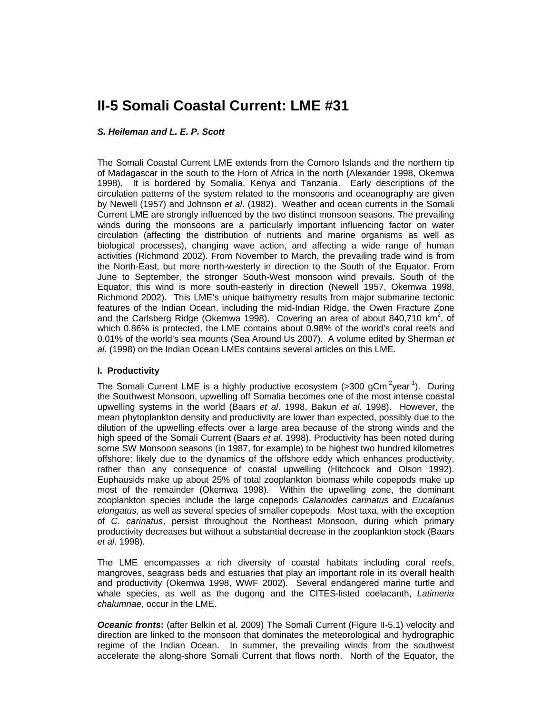# **II-5 Somali Coastal Current: LME #31**

## *S. Heileman and L. E. P. Scott*

The Somali Coastal Current LME extends from the Comoro Islands and the northern tip of Madagascar in the south to the Horn of Africa in the north (Alexander 1998, Okemwa 1998). It is bordered by Somalia, Kenya and Tanzania. Early descriptions of the circulation patterns of the system related to the monsoons and oceanography are given by Newell (1957) and Johnson *et al*. (1982). Weather and ocean currents in the Somali Current LME are strongly influenced by the two distinct monsoon seasons. The prevailing winds during the monsoons are a particularly important influencing factor on water circulation (affecting the distribution of nutrients and marine organisms as well as biological processes), changing wave action, and affecting a wide range of human activities (Richmond 2002). From November to March, the prevailing trade wind is from the North-East, but more north-westerly in direction to the South of the Equator. From June to September, the stronger South-West monsoon wind prevails. South of the Equator, this wind is more south-easterly in direction (Newell 1957, Okemwa 1998, Richmond 2002). This LME's unique bathymetry results from major submarine tectonic features of the Indian Ocean, including the mid-Indian Ridge, the Owen Fracture Zone and the Carlsberg Ridge (Okemwa 1998). Covering an area of about 840,710  $km^2$ , of which 0.86% is protected, the LME contains about 0.98% of the world's coral reefs and 0.01% of the world's sea mounts (Sea Around Us 2007). A volume edited by Sherman *et al*. (1998) on the Indian Ocean LMEs contains several articles on this LME.

## **I. Productivity**

The Somali Current LME is a highly productive ecosystem ( $>$ 300 gCm<sup>-2</sup>year<sup>-1</sup>). During the Southwest Monsoon, upwelling off Somalia becomes one of the most intense coastal upwelling systems in the world (Baars *et al*. 1998, Bakun *et al*. 1998). However, the mean phytoplankton density and productivity are lower than expected, possibly due to the dilution of the upwelling effects over a large area because of the strong winds and the high speed of the Somali Current (Baars *et al*. 1998). Productivity has been noted during some SW Monsoon seasons (in 1987, for example) to be highest two hundred kilometres offshore; likely due to the dynamics of the offshore eddy which enhances productivity, rather than any consequence of coastal upwelling (Hitchcock and Olson 1992). Euphausids make up about 25% of total zooplankton biomass while copepods make up most of the remainder (Okemwa 1998). Within the upwelling zone, the dominant zooplankton species include the large copepods *Calanoides carinatus* and *Eucalanus elongatus*, as well as several species of smaller copepods. Most taxa, with the exception of *C*. *carinatus*, persist throughout the Northeast Monsoon, during which primary productivity decreases but without a substantial decrease in the zooplankton stock (Baars *et al*. 1998).

The LME encompasses a rich diversity of coastal habitats including coral reefs, mangroves, seagrass beds and estuaries that play an important role in its overall health and productivity (Okemwa 1998, WWF 2002). Several endangered marine turtle and whale species, as well as the dugong and the CITES-listed coelacanth, *Latimeria chalumnae*, occur in the LME.

**Oceanic fronts:** (after Belkin et al. 2009) The Somali Current (Figure II-5.1) velocity and direction are linked to the monsoon that dominates the meteorological and hydrographic regime of the Indian Ocean. In summer, the prevailing winds from the southwest accelerate the along-shore Somali Current that flows north. North of the Equator, the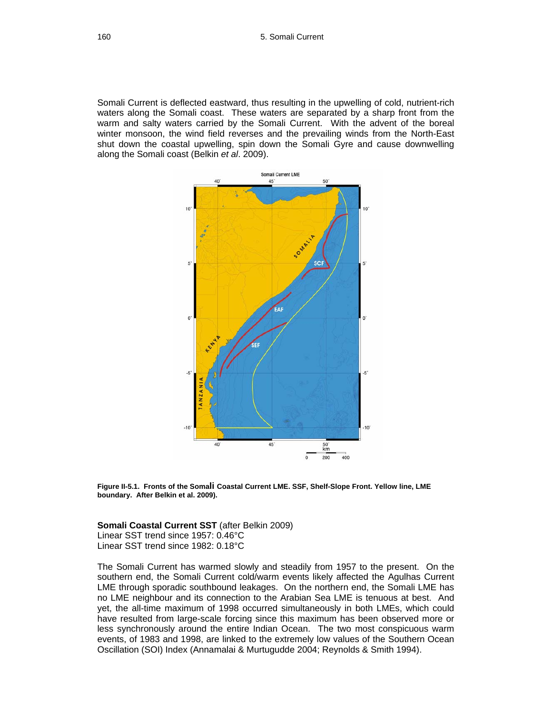Somali Current is deflected eastward, thus resulting in the upwelling of cold, nutrient-rich waters along the Somali coast. These waters are separated by a sharp front from the warm and salty waters carried by the Somali Current. With the advent of the boreal winter monsoon, the wind field reverses and the prevailing winds from the North-East shut down the coastal upwelling, spin down the Somali Gyre and cause downwelling along the Somali coast (Belkin *et al*. 2009).



**Figure II-5.1. Fronts of the Somali Coastal Current LME. SSF, Shelf-Slope Front. Yellow line, LME boundary. After Belkin et al. 2009).**

#### **Somali Coastal Current SST** (after Belkin 2009)

Linear SST trend since 1957: 0.46°C Linear SST trend since 1982: 0.18°C

The Somali Current has warmed slowly and steadily from 1957 to the present. On the southern end, the Somali Current cold/warm events likely affected the Agulhas Current LME through sporadic southbound leakages. On the northern end, the Somali LME has no LME neighbour and its connection to the Arabian Sea LME is tenuous at best. And yet, the all-time maximum of 1998 occurred simultaneously in both LMEs, which could have resulted from large-scale forcing since this maximum has been observed more or less synchronously around the entire Indian Ocean. The two most conspicuous warm events, of 1983 and 1998, are linked to the extremely low values of the Southern Ocean Oscillation (SOI) Index (Annamalai & Murtugudde 2004; Reynolds & Smith 1994).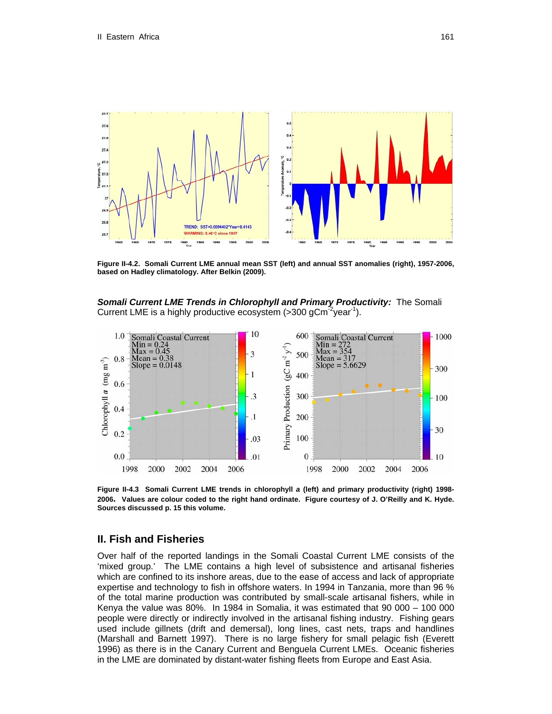

**Figure II-4.2. Somali Current LME annual mean SST (left) and annual SST anomalies (right), 1957-2006, based on Hadley climatology. After Belkin (2009).**

*Somali Current LME Trends in Chlorophyll and Primary Productivity:* The Somali Current LME is a highly productive ecosystem  $($ >300 gCm<sup>-2</sup>year<sup>-1</sup>).



**Figure II-4.3 Somali Current LME trends in chlorophyll** *a* **(left) and primary productivity (right) 1998- 2006. Values are colour coded to the right hand ordinate. Figure courtesy of J. O'Reilly and K. Hyde. Sources discussed p. 15 this volume.** 

## **II. Fish and Fisheries**

Over half of the reported landings in the Somali Coastal Current LME consists of the 'mixed group.' The LME contains a high level of subsistence and artisanal fisheries which are confined to its inshore areas, due to the ease of access and lack of appropriate expertise and technology to fish in offshore waters. In 1994 in Tanzania, more than 96 % of the total marine production was contributed by small-scale artisanal fishers, while in Kenya the value was 80%. In 1984 in Somalia, it was estimated that 90 000 – 100 000 people were directly or indirectly involved in the artisanal fishing industry. Fishing gears used include gillnets (drift and demersal), long lines, cast nets, traps and handlines (Marshall and Barnett 1997). There is no large fishery for small pelagic fish (Everett 1996) as there is in the Canary Current and Benguela Current LMEs. Oceanic fisheries in the LME are dominated by distant-water fishing fleets from Europe and East Asia.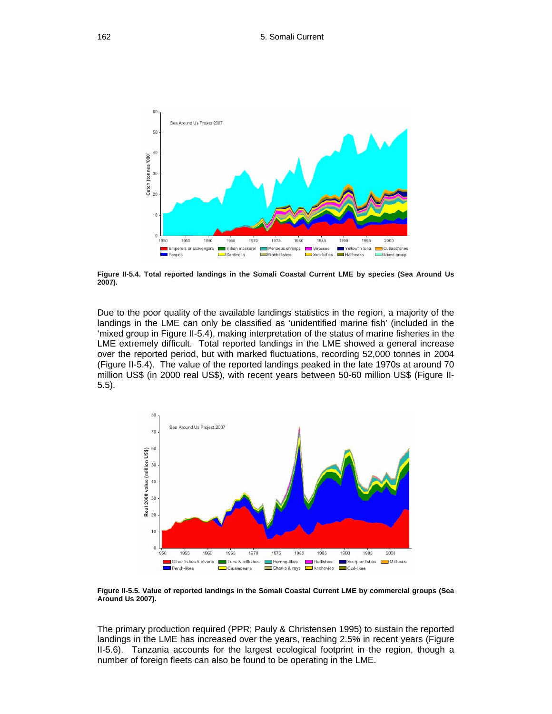

**Figure II-5.4. Total reported landings in the Somali Coastal Current LME by species (Sea Around Us 2007).** 

Due to the poor quality of the available landings statistics in the region, a majority of the landings in the LME can only be classified as 'unidentified marine fish' (included in the 'mixed group in Figure II-5.4), making interpretation of the status of marine fisheries in the LME extremely difficult. Total reported landings in the LME showed a general increase over the reported period, but with marked fluctuations, recording 52,000 tonnes in 2004 (Figure II-5.4). The value of the reported landings peaked in the late 1970s at around 70 million US\$ (in 2000 real US\$), with recent years between 50-60 million US\$ (Figure II-5.5).



**Figure II-5.5. Value of reported landings in the Somali Coastal Current LME by commercial groups (Sea Around Us 2007).** 

The primary production required (PPR; Pauly & Christensen 1995) to sustain the reported landings in the LME has increased over the years, reaching 2.5% in recent years (Figure II-5.6). Tanzania accounts for the largest ecological footprint in the region, though a number of foreign fleets can also be found to be operating in the LME.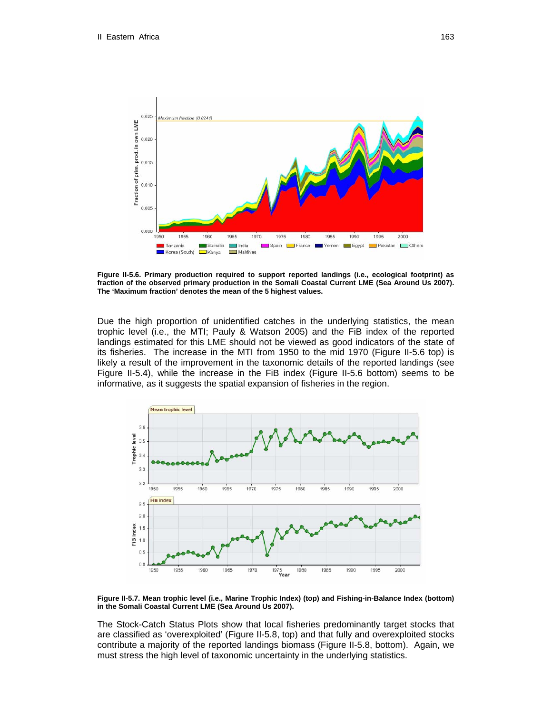

**Figure II-5.6. Primary production required to support reported landings (i.e., ecological footprint) as fraction of the observed primary production in the Somali Coastal Current LME (Sea Around Us 2007). The 'Maximum fraction' denotes the mean of the 5 highest values.** 

Due the high proportion of unidentified catches in the underlying statistics, the mean trophic level (i.e., the MTI; Pauly & Watson 2005) and the FiB index of the reported landings estimated for this LME should not be viewed as good indicators of the state of its fisheries. The increase in the MTI from 1950 to the mid 1970 (Figure II-5.6 top) is likely a result of the improvement in the taxonomic details of the reported landings (see Figure II-5.4), while the increase in the FiB index (Figure II-5.6 bottom) seems to be informative, as it suggests the spatial expansion of fisheries in the region.



**Figure II-5.7. Mean trophic level (i.e., Marine Trophic Index) (top) and Fishing-in-Balance Index (bottom) in the Somali Coastal Current LME (Sea Around Us 2007).** 

The Stock-Catch Status Plots show that local fisheries predominantly target stocks that are classified as 'overexploited' (Figure II-5.8, top) and that fully and overexploited stocks contribute a majority of the reported landings biomass (Figure II-5.8, bottom). Again, we must stress the high level of taxonomic uncertainty in the underlying statistics.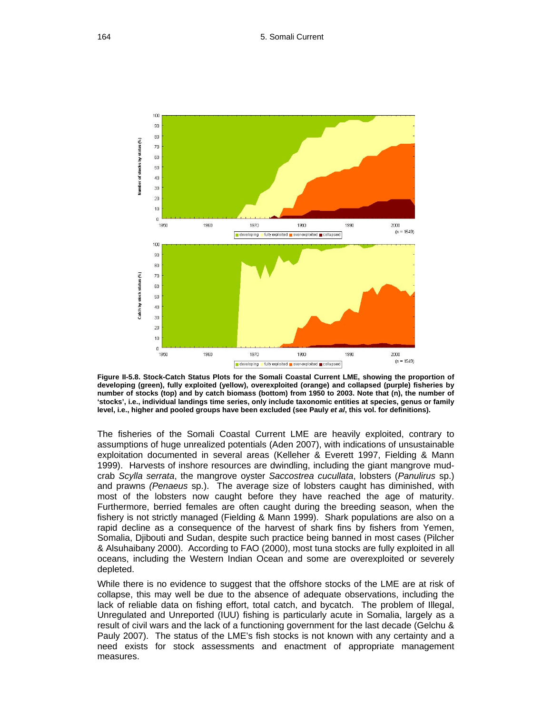

**Figure II-5.8. Stock-Catch Status Plots for the Somali Coastal Current LME, showing the proportion of developing (green), fully exploited (yellow), overexploited (orange) and collapsed (purple) fisheries by number of stocks (top) and by catch biomass (bottom) from 1950 to 2003. Note that (n), the number of 'stocks', i.e., individual landings time series, only include taxonomic entities at species, genus or family level, i.e., higher and pooled groups have been excluded (see Pauly** *et al***, this vol. for definitions).** 

The fisheries of the Somali Coastal Current LME are heavily exploited, contrary to assumptions of huge unrealized potentials (Aden 2007), with indications of unsustainable exploitation documented in several areas (Kelleher & Everett 1997, Fielding & Mann 1999). Harvests of inshore resources are dwindling, including the giant mangrove mudcrab *Scylla serrata*, the mangrove oyster *Saccostrea cucullata*, lobsters (*Panulirus* sp.) and prawns *(Penaeus* sp.). The average size of lobsters caught has diminished, with most of the lobsters now caught before they have reached the age of maturity. Furthermore, berried females are often caught during the breeding season, when the fishery is not strictly managed (Fielding & Mann 1999). Shark populations are also on a rapid decline as a consequence of the harvest of shark fins by fishers from Yemen, Somalia, Djibouti and Sudan, despite such practice being banned in most cases (Pilcher & Alsuhaibany 2000). According to FAO (2000), most tuna stocks are fully exploited in all oceans, including the Western Indian Ocean and some are overexploited or severely depleted.

While there is no evidence to suggest that the offshore stocks of the LME are at risk of collapse, this may well be due to the absence of adequate observations, including the lack of reliable data on fishing effort, total catch, and bycatch. The problem of Illegal, Unregulated and Unreported (IUU) fishing is particularly acute in Somalia, largely as a result of civil wars and the lack of a functioning government for the last decade (Gelchu & Pauly 2007). The status of the LME's fish stocks is not known with any certainty and a need exists for stock assessments and enactment of appropriate management measures.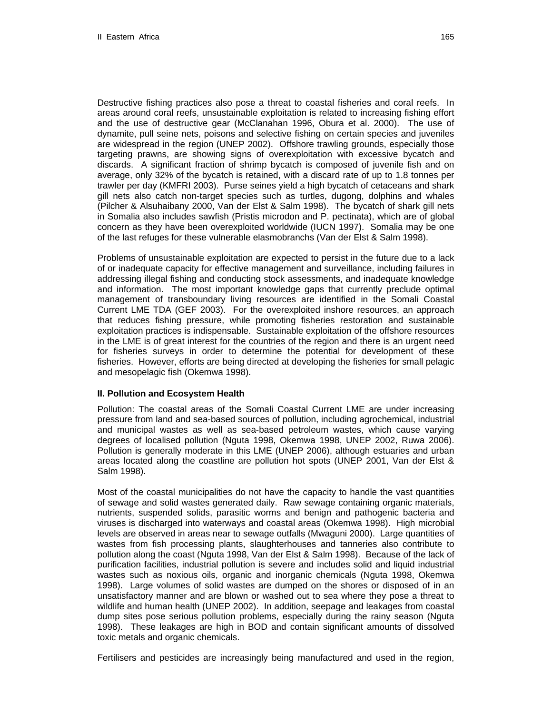Destructive fishing practices also pose a threat to coastal fisheries and coral reefs. In areas around coral reefs, unsustainable exploitation is related to increasing fishing effort and the use of destructive gear (McClanahan 1996, Obura et al. 2000). The use of dynamite, pull seine nets, poisons and selective fishing on certain species and juveniles are widespread in the region (UNEP 2002). Offshore trawling grounds, especially those targeting prawns, are showing signs of overexploitation with excessive bycatch and discards. A significant fraction of shrimp bycatch is composed of juvenile fish and on average, only 32% of the bycatch is retained, with a discard rate of up to 1.8 tonnes per trawler per day (KMFRI 2003). Purse seines yield a high bycatch of cetaceans and shark gill nets also catch non-target species such as turtles, dugong, dolphins and whales (Pilcher & Alsuhaibany 2000, Van der Elst & Salm 1998). The bycatch of shark gill nets in Somalia also includes sawfish (Pristis microdon and P. pectinata), which are of global concern as they have been overexploited worldwide (IUCN 1997). Somalia may be one of the last refuges for these vulnerable elasmobranchs (Van der Elst & Salm 1998).

Problems of unsustainable exploitation are expected to persist in the future due to a lack of or inadequate capacity for effective management and surveillance, including failures in addressing illegal fishing and conducting stock assessments, and inadequate knowledge and information. The most important knowledge gaps that currently preclude optimal management of transboundary living resources are identified in the Somali Coastal Current LME TDA (GEF 2003). For the overexploited inshore resources, an approach that reduces fishing pressure, while promoting fisheries restoration and sustainable exploitation practices is indispensable. Sustainable exploitation of the offshore resources in the LME is of great interest for the countries of the region and there is an urgent need for fisheries surveys in order to determine the potential for development of these fisheries. However, efforts are being directed at developing the fisheries for small pelagic and mesopelagic fish (Okemwa 1998).

#### **II. Pollution and Ecosystem Health**

Pollution: The coastal areas of the Somali Coastal Current LME are under increasing pressure from land and sea-based sources of pollution, including agrochemical, industrial and municipal wastes as well as sea-based petroleum wastes, which cause varying degrees of localised pollution (Nguta 1998, Okemwa 1998, UNEP 2002, Ruwa 2006). Pollution is generally moderate in this LME (UNEP 2006), although estuaries and urban areas located along the coastline are pollution hot spots (UNEP 2001, Van der Elst & Salm 1998).

Most of the coastal municipalities do not have the capacity to handle the vast quantities of sewage and solid wastes generated daily. Raw sewage containing organic materials, nutrients, suspended solids, parasitic worms and benign and pathogenic bacteria and viruses is discharged into waterways and coastal areas (Okemwa 1998). High microbial levels are observed in areas near to sewage outfalls (Mwaguni 2000). Large quantities of wastes from fish processing plants, slaughterhouses and tanneries also contribute to pollution along the coast (Nguta 1998, Van der Elst & Salm 1998). Because of the lack of purification facilities, industrial pollution is severe and includes solid and liquid industrial wastes such as noxious oils, organic and inorganic chemicals (Nguta 1998, Okemwa 1998). Large volumes of solid wastes are dumped on the shores or disposed of in an unsatisfactory manner and are blown or washed out to sea where they pose a threat to wildlife and human health (UNEP 2002). In addition, seepage and leakages from coastal dump sites pose serious pollution problems, especially during the rainy season (Nguta 1998). These leakages are high in BOD and contain significant amounts of dissolved toxic metals and organic chemicals.

Fertilisers and pesticides are increasingly being manufactured and used in the region,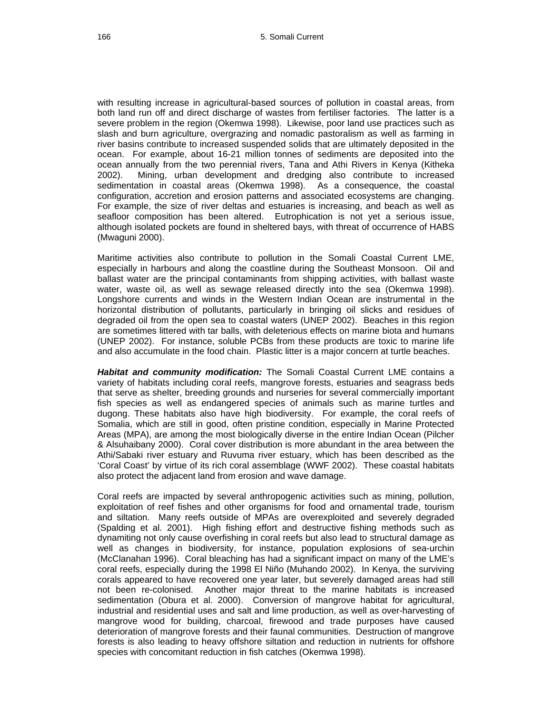with resulting increase in agricultural-based sources of pollution in coastal areas, from both land run off and direct discharge of wastes from fertiliser factories. The latter is a severe problem in the region (Okemwa 1998). Likewise, poor land use practices such as slash and burn agriculture, overgrazing and nomadic pastoralism as well as farming in river basins contribute to increased suspended solids that are ultimately deposited in the ocean. For example, about 16-21 million tonnes of sediments are deposited into the ocean annually from the two perennial rivers, Tana and Athi Rivers in Kenya (Kitheka 2002). Mining, urban development and dredging also contribute to increased sedimentation in coastal areas (Okemwa 1998). As a consequence, the coastal configuration, accretion and erosion patterns and associated ecosystems are changing. For example, the size of river deltas and estuaries is increasing, and beach as well as seafloor composition has been altered. Eutrophication is not yet a serious issue, although isolated pockets are found in sheltered bays, with threat of occurrence of HABS (Mwaguni 2000).

Maritime activities also contribute to pollution in the Somali Coastal Current LME, especially in harbours and along the coastline during the Southeast Monsoon. Oil and ballast water are the principal contaminants from shipping activities, with ballast waste water, waste oil, as well as sewage released directly into the sea (Okemwa 1998). Longshore currents and winds in the Western Indian Ocean are instrumental in the horizontal distribution of pollutants, particularly in bringing oil slicks and residues of degraded oil from the open sea to coastal waters (UNEP 2002). Beaches in this region are sometimes littered with tar balls, with deleterious effects on marine biota and humans (UNEP 2002). For instance, soluble PCBs from these products are toxic to marine life and also accumulate in the food chain. Plastic litter is a major concern at turtle beaches.

*Habitat and community modification:* The Somali Coastal Current LME contains a variety of habitats including coral reefs, mangrove forests, estuaries and seagrass beds that serve as shelter, breeding grounds and nurseries for several commercially important fish species as well as endangered species of animals such as marine turtles and dugong. These habitats also have high biodiversity. For example, the coral reefs of Somalia, which are still in good, often pristine condition, especially in Marine Protected Areas (MPA), are among the most biologically diverse in the entire Indian Ocean (Pilcher & Alsuhaibany 2000). Coral cover distribution is more abundant in the area between the Athi/Sabaki river estuary and Ruvuma river estuary, which has been described as the 'Coral Coast' by virtue of its rich coral assemblage (WWF 2002). These coastal habitats also protect the adjacent land from erosion and wave damage.

Coral reefs are impacted by several anthropogenic activities such as mining, pollution, exploitation of reef fishes and other organisms for food and ornamental trade, tourism and siltation. Many reefs outside of MPAs are overexploited and severely degraded (Spalding et al. 2001). High fishing effort and destructive fishing methods such as dynamiting not only cause overfishing in coral reefs but also lead to structural damage as well as changes in biodiversity, for instance, population explosions of sea-urchin (McClanahan 1996). Coral bleaching has had a significant impact on many of the LME's coral reefs, especially during the 1998 El Niño (Muhando 2002). In Kenya, the surviving corals appeared to have recovered one year later, but severely damaged areas had still not been re-colonised. Another major threat to the marine habitats is increased sedimentation (Obura et al. 2000). Conversion of mangrove habitat for agricultural, industrial and residential uses and salt and lime production, as well as over-harvesting of mangrove wood for building, charcoal, firewood and trade purposes have caused deterioration of mangrove forests and their faunal communities. Destruction of mangrove forests is also leading to heavy offshore siltation and reduction in nutrients for offshore species with concomitant reduction in fish catches (Okemwa 1998).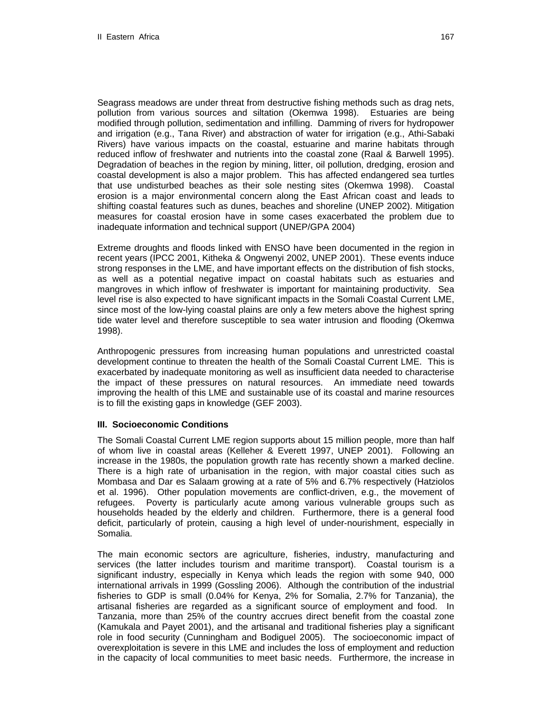Seagrass meadows are under threat from destructive fishing methods such as drag nets, pollution from various sources and siltation (Okemwa 1998). Estuaries are being modified through pollution, sedimentation and infilling. Damming of rivers for hydropower and irrigation (e.g., Tana River) and abstraction of water for irrigation (e.g., Athi-Sabaki Rivers) have various impacts on the coastal, estuarine and marine habitats through reduced inflow of freshwater and nutrients into the coastal zone (Raal & Barwell 1995). Degradation of beaches in the region by mining, litter, oil pollution, dredging, erosion and coastal development is also a major problem. This has affected endangered sea turtles that use undisturbed beaches as their sole nesting sites (Okemwa 1998). Coastal erosion is a major environmental concern along the East African coast and leads to shifting coastal features such as dunes, beaches and shoreline (UNEP 2002). Mitigation measures for coastal erosion have in some cases exacerbated the problem due to inadequate information and technical support (UNEP/GPA 2004)

Extreme droughts and floods linked with ENSO have been documented in the region in recent years (IPCC 2001, Kitheka & Ongwenyi 2002, UNEP 2001). These events induce strong responses in the LME, and have important effects on the distribution of fish stocks, as well as a potential negative impact on coastal habitats such as estuaries and mangroves in which inflow of freshwater is important for maintaining productivity. Sea level rise is also expected to have significant impacts in the Somali Coastal Current LME, since most of the low-lying coastal plains are only a few meters above the highest spring tide water level and therefore susceptible to sea water intrusion and flooding (Okemwa 1998).

Anthropogenic pressures from increasing human populations and unrestricted coastal development continue to threaten the health of the Somali Coastal Current LME. This is exacerbated by inadequate monitoring as well as insufficient data needed to characterise the impact of these pressures on natural resources. An immediate need towards improving the health of this LME and sustainable use of its coastal and marine resources is to fill the existing gaps in knowledge (GEF 2003).

## **III. Socioeconomic Conditions**

The Somali Coastal Current LME region supports about 15 million people, more than half of whom live in coastal areas (Kelleher & Everett 1997, UNEP 2001). Following an increase in the 1980s, the population growth rate has recently shown a marked decline. There is a high rate of urbanisation in the region, with major coastal cities such as Mombasa and Dar es Salaam growing at a rate of 5% and 6.7% respectively (Hatziolos et al. 1996). Other population movements are conflict-driven, e.g., the movement of refugees. Poverty is particularly acute among various vulnerable groups such as households headed by the elderly and children. Furthermore, there is a general food deficit, particularly of protein, causing a high level of under-nourishment, especially in Somalia.

The main economic sectors are agriculture, fisheries, industry, manufacturing and services (the latter includes tourism and maritime transport). Coastal tourism is a significant industry, especially in Kenya which leads the region with some 940, 000 international arrivals in 1999 (Gossling 2006). Although the contribution of the industrial fisheries to GDP is small (0.04% for Kenya, 2% for Somalia, 2.7% for Tanzania), the artisanal fisheries are regarded as a significant source of employment and food. In Tanzania, more than 25% of the country accrues direct benefit from the coastal zone (Kamukala and Payet 2001), and the artisanal and traditional fisheries play a significant role in food security (Cunningham and Bodiguel 2005). The socioeconomic impact of overexploitation is severe in this LME and includes the loss of employment and reduction in the capacity of local communities to meet basic needs. Furthermore, the increase in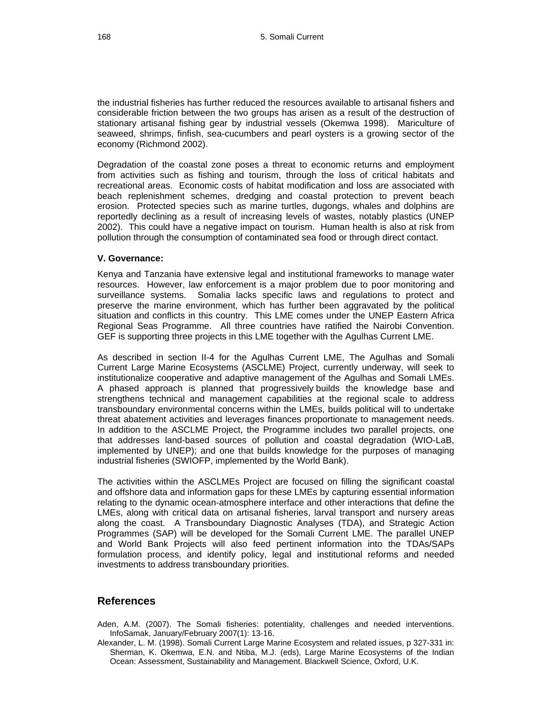the industrial fisheries has further reduced the resources available to artisanal fishers and considerable friction between the two groups has arisen as a result of the destruction of stationary artisanal fishing gear by industrial vessels (Okemwa 1998). Mariculture of seaweed, shrimps, finfish, sea-cucumbers and pearl oysters is a growing sector of the economy (Richmond 2002).

Degradation of the coastal zone poses a threat to economic returns and employment from activities such as fishing and tourism, through the loss of critical habitats and recreational areas. Economic costs of habitat modification and loss are associated with beach replenishment schemes, dredging and coastal protection to prevent beach erosion. Protected species such as marine turtles, dugongs, whales and dolphins are reportedly declining as a result of increasing levels of wastes, notably plastics (UNEP 2002). This could have a negative impact on tourism. Human health is also at risk from pollution through the consumption of contaminated sea food or through direct contact.

#### **V. Governance:**

Kenya and Tanzania have extensive legal and institutional frameworks to manage water resources. However, law enforcement is a major problem due to poor monitoring and surveillance systems. Somalia lacks specific laws and regulations to protect and preserve the marine environment, which has further been aggravated by the political situation and conflicts in this country. This LME comes under the UNEP Eastern Africa Regional Seas Programme. All three countries have ratified the Nairobi Convention. GEF is supporting three projects in this LME together with the Agulhas Current LME.

As described in section II-4 for the Agulhas Current LME, The Agulhas and Somali Current Large Marine Ecosystems (ASCLME) Project, currently underway, will seek to institutionalize cooperative and adaptive management of the Agulhas and Somali LMEs. A phased approach is planned that progressively builds the knowledge base and strengthens technical and management capabilities at the regional scale to address transboundary environmental concerns within the LMEs, builds political will to undertake threat abatement activities and leverages finances proportionate to management needs. In addition to the ASCLME Project, the Programme includes two parallel projects, one that addresses land-based sources of pollution and coastal degradation (WIO-LaB, implemented by UNEP); and one that builds knowledge for the purposes of managing industrial fisheries (SWIOFP, implemented by the World Bank).

The activities within the ASCLMEs Project are focused on filling the significant coastal and offshore data and information gaps for these LMEs by capturing essential information relating to the dynamic ocean-atmosphere interface and other interactions that define the LMEs, along with critical data on artisanal fisheries, larval transport and nursery areas along the coast. A Transboundary Diagnostic Analyses (TDA), and Strategic Action Programmes (SAP) will be developed for the Somali Current LME. The parallel UNEP and World Bank Projects will also feed pertinent information into the TDAs/SAPs formulation process, and identify policy, legal and institutional reforms and needed investments to address transboundary priorities.

## **References**

- Aden, A.M. (2007). The Somali fisheries: potentiality, challenges and needed interventions. InfoSamak, January/February 2007(1): 13-16.
- Alexander, L. M. (1998). Somali Current Large Marine Ecosystem and related issues, p 327-331 in: Sherman, K. Okemwa, E.N. and Ntiba, M.J. (eds), Large Marine Ecosystems of the Indian Ocean: Assessment, Sustainability and Management. Blackwell Science, Oxford, U.K.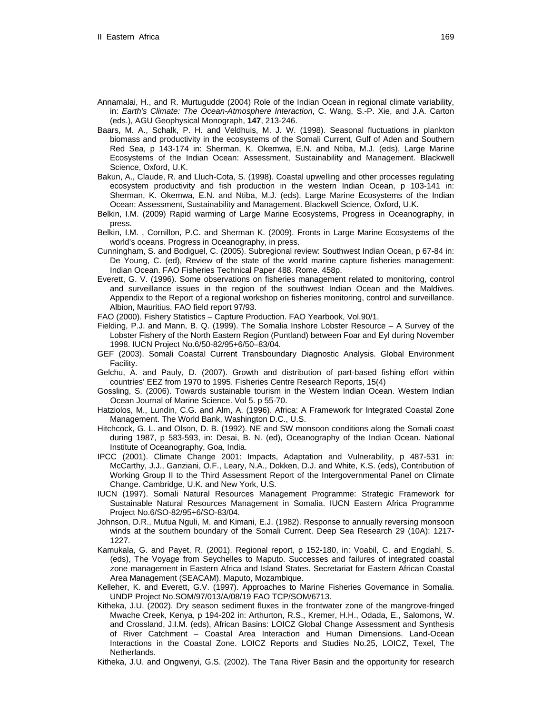- Annamalai, H., and R. Murtugudde (2004) Role of the Indian Ocean in regional climate variability, in: *Earth's Climate: The Ocean-Atmosphere Interaction*, C. Wang, S.-P. Xie, and J.A. Carton (eds.), AGU Geophysical Monograph, **147**, 213-246.
- Baars, M. A., Schalk, P. H. and Veldhuis, M. J. W. (1998). Seasonal fluctuations in plankton biomass and productivity in the ecosystems of the Somali Current, Gulf of Aden and Southern Red Sea, p 143-174 in: Sherman, K. Okemwa, E.N. and Ntiba, M.J. (eds), Large Marine Ecosystems of the Indian Ocean: Assessment, Sustainability and Management. Blackwell Science, Oxford, U.K.
- Bakun, A., Claude, R. and Lluch-Cota, S. (1998). Coastal upwelling and other processes regulating ecosystem productivity and fish production in the western Indian Ocean, p 103-141 in: Sherman, K. Okemwa, E.N. and Ntiba, M.J. (eds), Large Marine Ecosystems of the Indian Ocean: Assessment, Sustainability and Management. Blackwell Science, Oxford, U.K.
- Belkin, I.M. (2009) Rapid warming of Large Marine Ecosystems, Progress in Oceanography, in press.
- Belkin, I.M. , Cornillon, P.C. and Sherman K. (2009). Fronts in Large Marine Ecosystems of the world's oceans. Progress in Oceanography, in press.
- Cunningham, S. and Bodiguel, C. (2005). Subregional review: Southwest Indian Ocean, p 67-84 in: De Young, C. (ed), Review of the state of the world marine capture fisheries management: Indian Ocean. FAO Fisheries Technical Paper 488. Rome. 458p.
- Everett, G. V. (1996). Some observations on fisheries management related to monitoring, control and surveillance issues in the region of the southwest Indian Ocean and the Maldives. Appendix to the Report of a regional workshop on fisheries monitoring, control and surveillance. Albion, Mauritius. FAO field report 97/93.

FAO (2000). Fishery Statistics – Capture Production. FAO Yearbook, Vol.90/1.

- Fielding, P.J. and Mann, B. Q. (1999). The Somalia Inshore Lobster Resource A Survey of the Lobster Fishery of the North Eastern Region (Puntland) between Foar and Eyl during November 1998. IUCN Project No.6/50-82/95+6/50–83/04.
- GEF (2003). Somali Coastal Current Transboundary Diagnostic Analysis. Global Environment Facility.
- Gelchu, A. and Pauly, D. (2007). Growth and distribution of part-based fishing effort within countries' EEZ from 1970 to 1995. Fisheries Centre Research Reports, 15(4)
- Gossling, S. (2006). Towards sustainable tourism in the Western Indian Ocean. Western Indian Ocean Journal of Marine Science. Vol 5. p 55-70.
- Hatziolos, M., Lundin, C.G. and Alm, A. (1996). Africa: A Framework for Integrated Coastal Zone Management. The World Bank, Washington D.C., U.S.
- Hitchcock, G. L. and Olson, D. B. (1992). NE and SW monsoon conditions along the Somali coast during 1987, p 583-593, in: Desai, B. N. (ed), Oceanography of the Indian Ocean. National Institute of Oceanography, Goa, India.
- IPCC (2001). Climate Change 2001: Impacts, Adaptation and Vulnerability, p 487-531 in: McCarthy, J.J., Ganziani, O.F., Leary, N.A., Dokken, D.J. and White, K.S. (eds), Contribution of Working Group II to the Third Assessment Report of the Intergovernmental Panel on Climate Change. Cambridge, U.K. and New York, U.S.
- IUCN (1997). Somali Natural Resources Management Programme: Strategic Framework for Sustainable Natural Resources Management in Somalia. IUCN Eastern Africa Programme Project No.6/SO-82/95+6/SO-83/04.
- Johnson, D.R., Mutua Nguli, M. and Kimani, E.J. (1982). Response to annually reversing monsoon winds at the southern boundary of the Somali Current. Deep Sea Research 29 (10A): 1217- 1227.
- Kamukala, G. and Payet, R. (2001). Regional report, p 152-180, in: Voabil, C. and Engdahl, S. (eds), The Voyage from Seychelles to Maputo. Successes and failures of integrated coastal zone management in Eastern Africa and Island States. Secretariat for Eastern African Coastal Area Management (SEACAM). Maputo, Mozambique.
- Kelleher, K. and Everett, G.V. (1997). Approaches to Marine Fisheries Governance in Somalia. UNDP Project No.SOM/97/013/A/08/19 FAO TCP/SOM/6713.
- Kitheka, J.U. (2002). Dry season sediment fluxes in the frontwater zone of the mangrove-fringed Mwache Creek, Kenya, p 194-202 in: Arthurton, R.S., Kremer, H.H., Odada, E., Salomons, W. and Crossland, J.I.M. (eds), African Basins: LOICZ Global Change Assessment and Synthesis of River Catchment – Coastal Area Interaction and Human Dimensions. Land-Ocean Interactions in the Coastal Zone. LOICZ Reports and Studies No.25, LOICZ, Texel, The Netherlands.
- Kitheka, J.U. and Ongwenyi, G.S. (2002). The Tana River Basin and the opportunity for research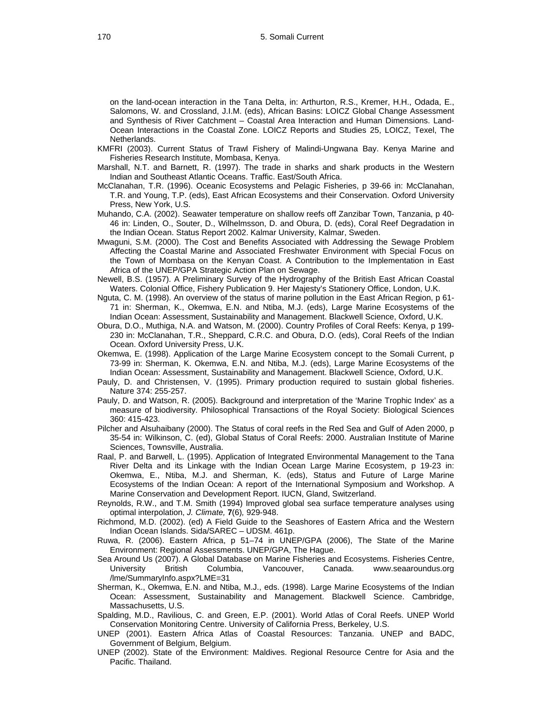on the land-ocean interaction in the Tana Delta, in: Arthurton, R.S., Kremer, H.H., Odada, E., Salomons, W. and Crossland, J.I.M. (eds), African Basins: LOICZ Global Change Assessment and Synthesis of River Catchment – Coastal Area Interaction and Human Dimensions. Land-Ocean Interactions in the Coastal Zone. LOICZ Reports and Studies 25, LOICZ, Texel, The Netherlands.

- KMFRI (2003). Current Status of Trawl Fishery of Malindi-Ungwana Bay. Kenya Marine and Fisheries Research Institute, Mombasa, Kenya.
- Marshall, N.T. and Barnett, R. (1997). The trade in sharks and shark products in the Western Indian and Southeast Atlantic Oceans. Traffic. East/South Africa.
- McClanahan, T.R. (1996). Oceanic Ecosystems and Pelagic Fisheries, p 39-66 in: McClanahan, T.R. and Young, T.P. (eds), East African Ecosystems and their Conservation. Oxford University Press, New York, U.S.
- Muhando, C.A. (2002). Seawater temperature on shallow reefs off Zanzibar Town, Tanzania, p 40- 46 in: Linden, O., Souter, D., Wilhelmsson, D. and Obura, D. (eds), Coral Reef Degradation in the Indian Ocean. Status Report 2002. Kalmar University, Kalmar, Sweden.
- Mwaguni, S.M. (2000). The Cost and Benefits Associated with Addressing the Sewage Problem Affecting the Coastal Marine and Associated Freshwater Environment with Special Focus on the Town of Mombasa on the Kenyan Coast. A Contribution to the Implementation in East Africa of the UNEP/GPA Strategic Action Plan on Sewage.
- Newell, B.S. (1957). A Preliminary Survey of the Hydrography of the British East African Coastal Waters. Colonial Office, Fishery Publication 9. Her Majesty's Stationery Office, London, U.K.
- Nguta, C. M. (1998). An overview of the status of marine pollution in the East African Region, p 61- 71 in: Sherman, K., Okemwa, E.N. and Ntiba, M.J. (eds), Large Marine Ecosystems of the Indian Ocean: Assessment, Sustainability and Management. Blackwell Science, Oxford, U.K.
- Obura, D.O., Muthiga, N.A. and Watson, M. (2000). Country Profiles of Coral Reefs: Kenya, p 199- 230 in: McClanahan, T.R., Sheppard, C.R.C. and Obura, D.O. (eds), Coral Reefs of the Indian Ocean. Oxford University Press, U.K.
- Okemwa, E. (1998). Application of the Large Marine Ecosystem concept to the Somali Current, p 73-99 in: Sherman, K. Okemwa, E.N. and Ntiba, M.J. (eds), Large Marine Ecosystems of the Indian Ocean: Assessment, Sustainability and Management. Blackwell Science, Oxford, U.K.
- Pauly, D. and Christensen, V. (1995). Primary production required to sustain global fisheries. Nature 374: 255-257.
- Pauly, D. and Watson, R. (2005). Background and interpretation of the 'Marine Trophic Index' as a measure of biodiversity. Philosophical Transactions of the Royal Society: Biological Sciences 360: 415-423.
- Pilcher and Alsuhaibany (2000). The Status of coral reefs in the Red Sea and Gulf of Aden 2000, p 35-54 in: Wilkinson, C. (ed), Global Status of Coral Reefs: 2000. Australian Institute of Marine Sciences, Townsville, Australia.
- Raal, P. and Barwell, L. (1995). Application of Integrated Environmental Management to the Tana River Delta and its Linkage with the Indian Ocean Large Marine Ecosystem, p 19-23 in: Okemwa, E., Ntiba, M.J. and Sherman, K. (eds), Status and Future of Large Marine Ecosystems of the Indian Ocean: A report of the International Symposium and Workshop. A Marine Conservation and Development Report. IUCN, Gland, Switzerland.
- Reynolds, R.W., and T.M. Smith (1994) Improved global sea surface temperature analyses using optimal interpolation, *J. Climate,* **7**(6)*,* 929-948.
- Richmond, M.D. (2002). (ed) A Field Guide to the Seashores of Eastern Africa and the Western Indian Ocean Islands. Sida/SAREC – UDSM. 461p.
- Ruwa, R. (2006). Eastern Africa, p 51–74 in UNEP/GPA (2006), The State of the Marine Environment: Regional Assessments. UNEP/GPA, The Hague.
- Sea Around Us (2007). A Global Database on Marine Fisheries and Ecosystems. Fisheries Centre, University British Columbia, Vancouver, Canada. www.seaaroundus.org /lme/SummaryInfo.aspx?LME=31
- Sherman, K., Okemwa, E.N. and Ntiba, M.J., eds. (1998). Large Marine Ecosystems of the Indian Ocean: Assessment, Sustainability and Management. Blackwell Science. Cambridge, Massachusetts, U.S.
- Spalding, M.D., Ravilious, C. and Green, E.P. (2001). World Atlas of Coral Reefs. UNEP World Conservation Monitoring Centre. University of California Press, Berkeley, U.S.
- UNEP (2001). Eastern Africa Atlas of Coastal Resources: Tanzania. UNEP and BADC, Government of Belgium, Belgium.
- UNEP (2002). State of the Environment: Maldives. Regional Resource Centre for Asia and the Pacific. Thailand.